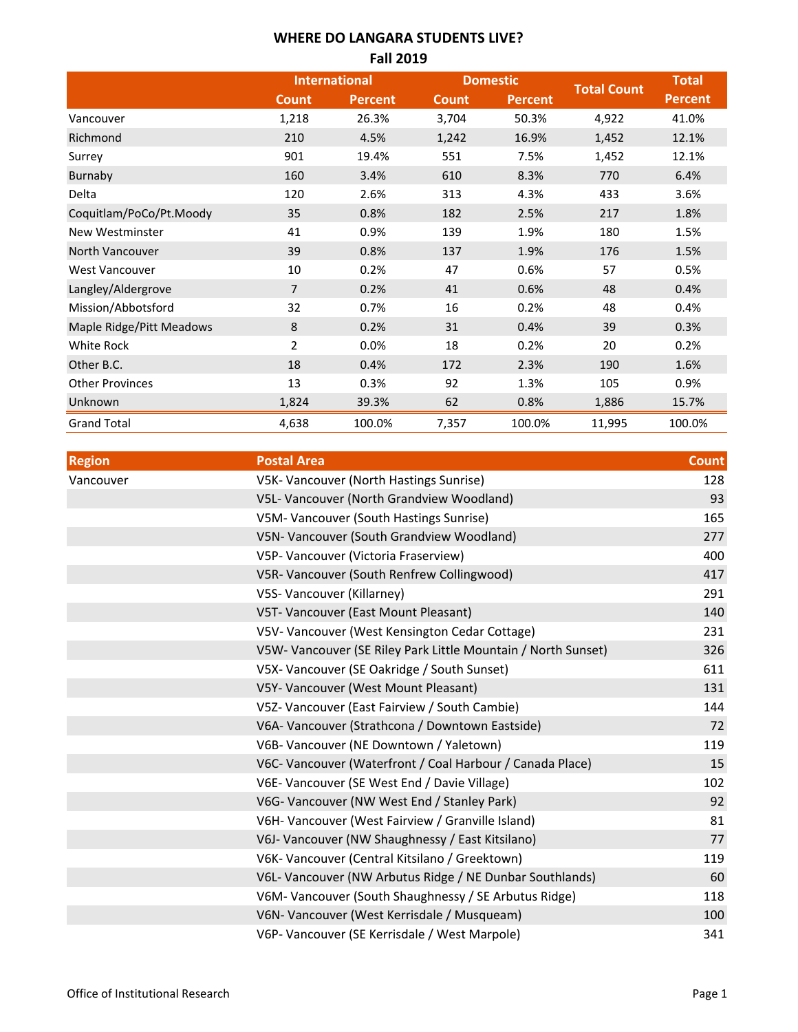### **WHERE DO LANGARA STUDENTS LIVE? Fall 2019**

|                          | <b>International</b> |                | <b>Domestic</b> |         |                    | <b>Total</b>   |
|--------------------------|----------------------|----------------|-----------------|---------|--------------------|----------------|
|                          | <b>Count</b>         | <b>Percent</b> | <b>Count</b>    | Percent | <b>Total Count</b> | <b>Percent</b> |
| Vancouver                | 1,218                | 26.3%          | 3,704           | 50.3%   | 4,922              | 41.0%          |
| Richmond                 | 210                  | 4.5%           | 1,242           | 16.9%   | 1,452              | 12.1%          |
| Surrey                   | 901                  | 19.4%          | 551             | 7.5%    | 1,452              | 12.1%          |
| Burnaby                  | 160                  | 3.4%           | 610             | 8.3%    | 770                | 6.4%           |
| Delta                    | 120                  | 2.6%           | 313             | 4.3%    | 433                | 3.6%           |
| Coquitlam/PoCo/Pt.Moody  | 35                   | 0.8%           | 182             | 2.5%    | 217                | 1.8%           |
| New Westminster          | 41                   | 0.9%           | 139             | 1.9%    | 180                | 1.5%           |
| North Vancouver          | 39                   | 0.8%           | 137             | 1.9%    | 176                | 1.5%           |
| <b>West Vancouver</b>    | 10                   | 0.2%           | 47              | 0.6%    | 57                 | 0.5%           |
| Langley/Aldergrove       | $\overline{7}$       | 0.2%           | 41              | 0.6%    | 48                 | 0.4%           |
| Mission/Abbotsford       | 32                   | 0.7%           | 16              | 0.2%    | 48                 | 0.4%           |
| Maple Ridge/Pitt Meadows | 8                    | 0.2%           | 31              | 0.4%    | 39                 | 0.3%           |
| <b>White Rock</b>        | $\overline{2}$       | 0.0%           | 18              | 0.2%    | 20                 | 0.2%           |
| Other B.C.               | 18                   | 0.4%           | 172             | 2.3%    | 190                | 1.6%           |
| <b>Other Provinces</b>   | 13                   | 0.3%           | 92              | 1.3%    | 105                | 0.9%           |
| Unknown                  | 1,824                | 39.3%          | 62              | 0.8%    | 1,886              | 15.7%          |
| <b>Grand Total</b>       | 4,638                | 100.0%         | 7,357           | 100.0%  | 11,995             | 100.0%         |

| <b>Region</b> | <b>Postal Area</b>                                            | <b>Count</b> |
|---------------|---------------------------------------------------------------|--------------|
| Vancouver     | V5K- Vancouver (North Hastings Sunrise)                       | 128          |
|               | V5L- Vancouver (North Grandview Woodland)                     | 93           |
|               | V5M- Vancouver (South Hastings Sunrise)                       | 165          |
|               | V5N- Vancouver (South Grandview Woodland)                     | 277          |
|               | V5P- Vancouver (Victoria Fraserview)                          | 400          |
|               | V5R- Vancouver (South Renfrew Collingwood)                    | 417          |
|               | V5S- Vancouver (Killarney)                                    | 291          |
|               | V5T- Vancouver (East Mount Pleasant)                          | 140          |
|               | V5V- Vancouver (West Kensington Cedar Cottage)                | 231          |
|               | V5W- Vancouver (SE Riley Park Little Mountain / North Sunset) | 326          |
|               | V5X- Vancouver (SE Oakridge / South Sunset)                   | 611          |
|               | V5Y- Vancouver (West Mount Pleasant)                          | 131          |
|               | V5Z- Vancouver (East Fairview / South Cambie)                 | 144          |
|               | V6A- Vancouver (Strathcona / Downtown Eastside)               | 72           |
|               | V6B- Vancouver (NE Downtown / Yaletown)                       | 119          |
|               | V6C- Vancouver (Waterfront / Coal Harbour / Canada Place)     | 15           |
|               | V6E- Vancouver (SE West End / Davie Village)                  | 102          |
|               | V6G- Vancouver (NW West End / Stanley Park)                   | 92           |
|               | V6H- Vancouver (West Fairview / Granville Island)             | 81           |
|               | V6J- Vancouver (NW Shaughnessy / East Kitsilano)              | 77           |
|               | V6K- Vancouver (Central Kitsilano / Greektown)                | 119          |
|               | V6L- Vancouver (NW Arbutus Ridge / NE Dunbar Southlands)      | 60           |
|               | V6M- Vancouver (South Shaughnessy / SE Arbutus Ridge)         | 118          |
|               | V6N- Vancouver (West Kerrisdale / Musqueam)                   | 100          |
|               | V6P- Vancouver (SE Kerrisdale / West Marpole)                 | 341          |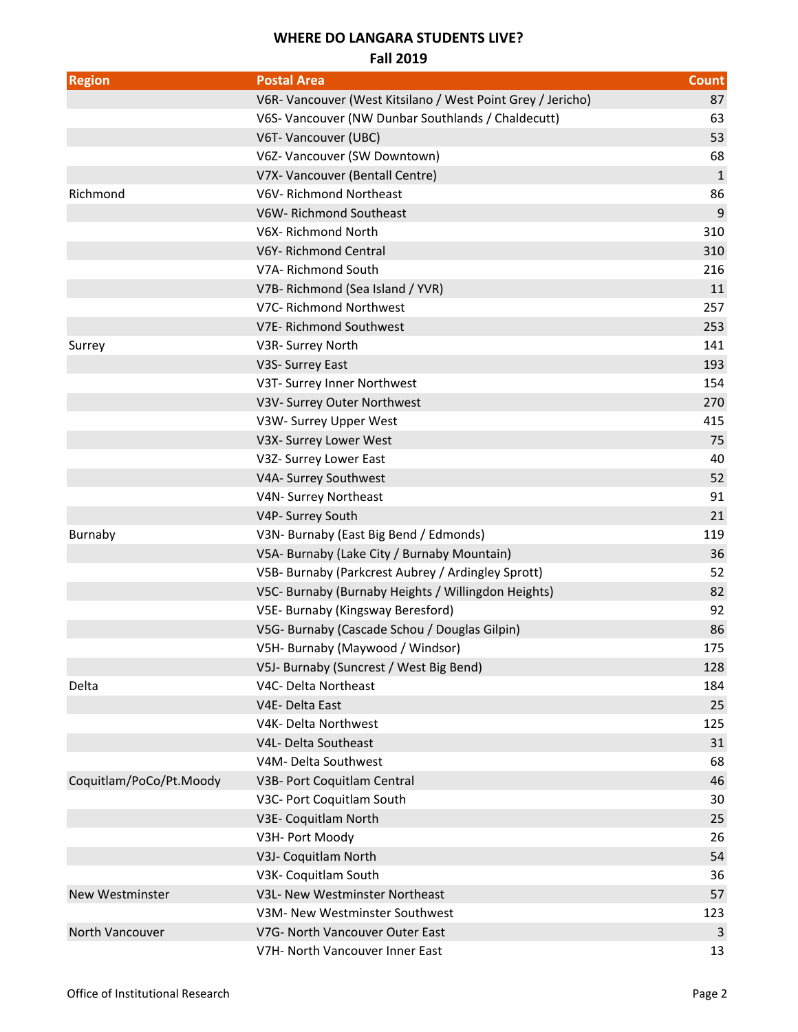# **WHERE DO LANGARA STUDENTS LIVE?**

#### **Fall 2019**

| <b>Region</b>           | <b>Postal Area</b>                                          | Count        |
|-------------------------|-------------------------------------------------------------|--------------|
|                         | V6R- Vancouver (West Kitsilano / West Point Grey / Jericho) | 87           |
|                         | V6S- Vancouver (NW Dunbar Southlands / Chaldecutt)          | 63           |
|                         | V6T- Vancouver (UBC)                                        | 53           |
|                         | V6Z- Vancouver (SW Downtown)                                | 68           |
|                         | V7X- Vancouver (Bentall Centre)                             | $\mathbf{1}$ |
| Richmond                | V6V-Richmond Northeast                                      | 86           |
|                         | V6W-Richmond Southeast                                      | 9            |
|                         | V6X-Richmond North                                          | 310          |
|                         | V6Y-Richmond Central                                        | 310          |
|                         | V7A-Richmond South                                          | 216          |
|                         | V7B-Richmond (Sea Island / YVR)                             | 11           |
|                         | V7C- Richmond Northwest                                     | 257          |
|                         | V7E- Richmond Southwest                                     | 253          |
| Surrey                  | V3R- Surrey North                                           | 141          |
|                         | V3S- Surrey East                                            | 193          |
|                         | V3T- Surrey Inner Northwest                                 | 154          |
|                         | V3V- Surrey Outer Northwest                                 | 270          |
|                         | V3W- Surrey Upper West                                      | 415          |
|                         | V3X- Surrey Lower West                                      | 75           |
|                         | V3Z- Surrey Lower East                                      | 40           |
|                         | V4A- Surrey Southwest                                       | 52           |
|                         | V4N- Surrey Northeast                                       | 91           |
|                         | V4P- Surrey South                                           | 21           |
| Burnaby                 | V3N- Burnaby (East Big Bend / Edmonds)                      | 119          |
|                         | V5A- Burnaby (Lake City / Burnaby Mountain)                 | 36           |
|                         | V5B- Burnaby (Parkcrest Aubrey / Ardingley Sprott)          | 52           |
|                         | V5C- Burnaby (Burnaby Heights / Willingdon Heights)         | 82           |
|                         | V5E- Burnaby (Kingsway Beresford)                           | 92           |
|                         | V5G- Burnaby (Cascade Schou / Douglas Gilpin)               | 86           |
|                         | V5H- Burnaby (Maywood / Windsor)                            | 175          |
|                         | V5J- Burnaby (Suncrest / West Big Bend)                     | 128          |
| Delta                   | V4C- Delta Northeast                                        | 184          |
|                         | V4E-Delta East                                              | 25           |
|                         | V4K- Delta Northwest                                        | 125          |
|                         | V4L- Delta Southeast                                        | 31           |
|                         | V4M- Delta Southwest                                        | 68           |
| Coquitlam/PoCo/Pt.Moody | V3B- Port Coquitlam Central                                 | 46           |
|                         | V3C- Port Coquitlam South                                   | 30           |
|                         | V3E- Coquitlam North                                        | 25           |
|                         | V3H- Port Moody                                             | 26           |
|                         | V3J- Coquitlam North                                        | 54           |
|                         | V3K- Coquitlam South                                        | 36           |
| <b>New Westminster</b>  | V3L- New Westminster Northeast                              | 57           |
|                         | V3M- New Westminster Southwest                              | 123          |
| North Vancouver         | V7G- North Vancouver Outer East                             | 3            |
|                         | V7H- North Vancouver Inner East                             | 13           |